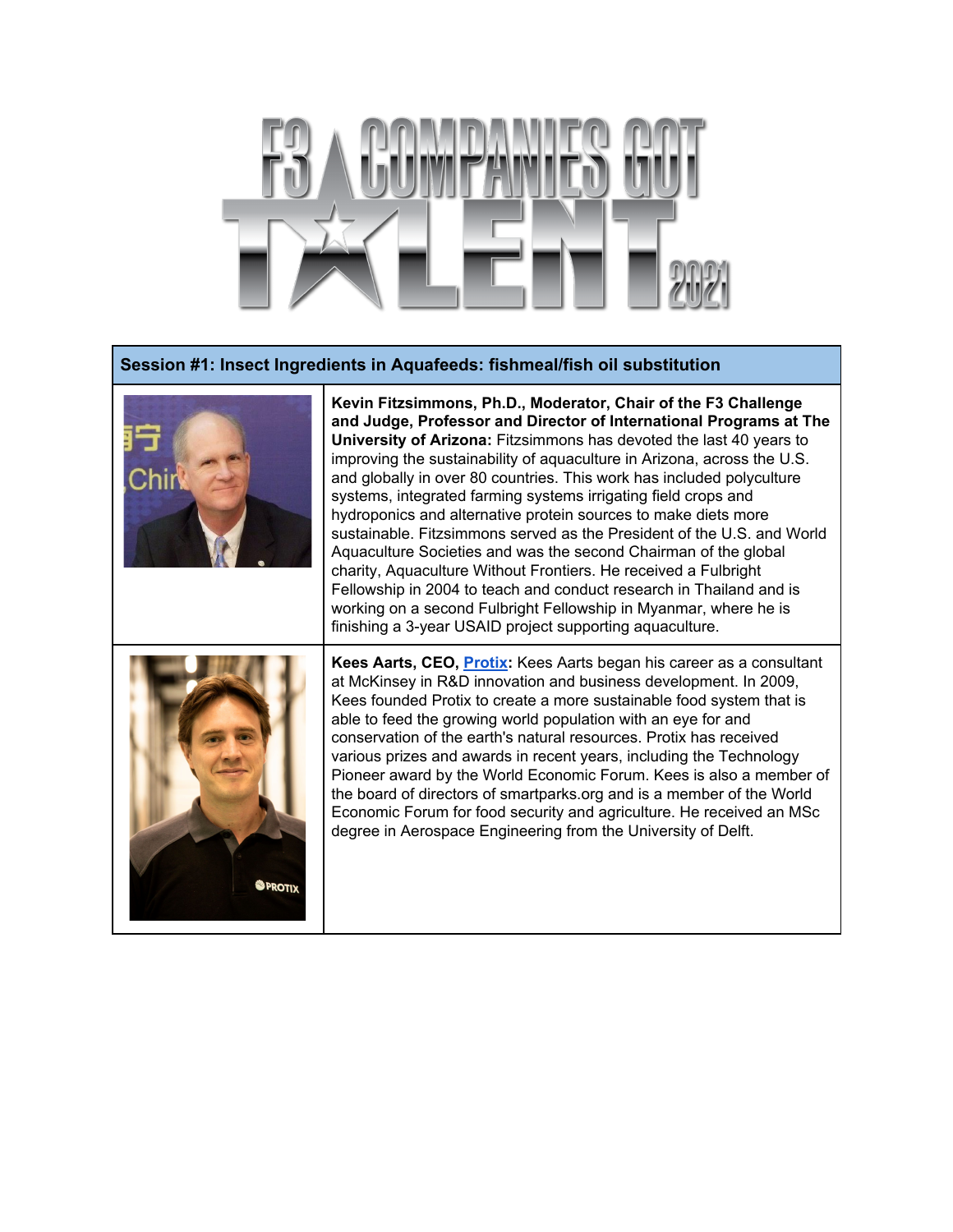

## **Session #1: Insect Ingredients in Aquafeeds: fishmeal/fish oil substitution**



**Kevin Fitzsimmons, Ph.D., Moderator, Chair of the F3 Challenge and Judge, Professor and Director of International Programs at The University of Arizona:** Fitzsimmons has devoted the last 40 years to improving the sustainability of aquaculture in Arizona, across the U.S. and globally in over 80 countries. This work has included polyculture systems, integrated farming systems irrigating field crops and hydroponics and alternative protein sources to make diets more sustainable. Fitzsimmons served as the President of the U.S. and World Aquaculture Societies and was the second Chairman of the global charity, Aquaculture Without Frontiers. He received a Fulbright Fellowship in 2004 to teach and conduct research in Thailand and is working on a second Fulbright Fellowship in Myanmar, where he is finishing a 3-year USAID project supporting aquaculture.



**Kees Aarts, CEO, [Protix](https://docs.google.com/document/d/1u1cCHzA2NnkOHiDR76ZLqf_ve5M57dsLMiAVSRytfMs/preview#bookmark=id.9irokb8tdh19):** Kees Aarts began his career as a consultant at McKinsey in R&D innovation and business development. In 2009, Kees founded Protix to create a more sustainable food system that is able to feed the growing world population with an eye for and conservation of the earth's natural resources. Protix has received various prizes and awards in recent years, including the Technology Pioneer award by the World Economic Forum. Kees is also a member of the board of directors of smartparks.org and is a member of the World Economic Forum for food security and agriculture. He received an MSc degree in Aerospace Engineering from the University of Delft.